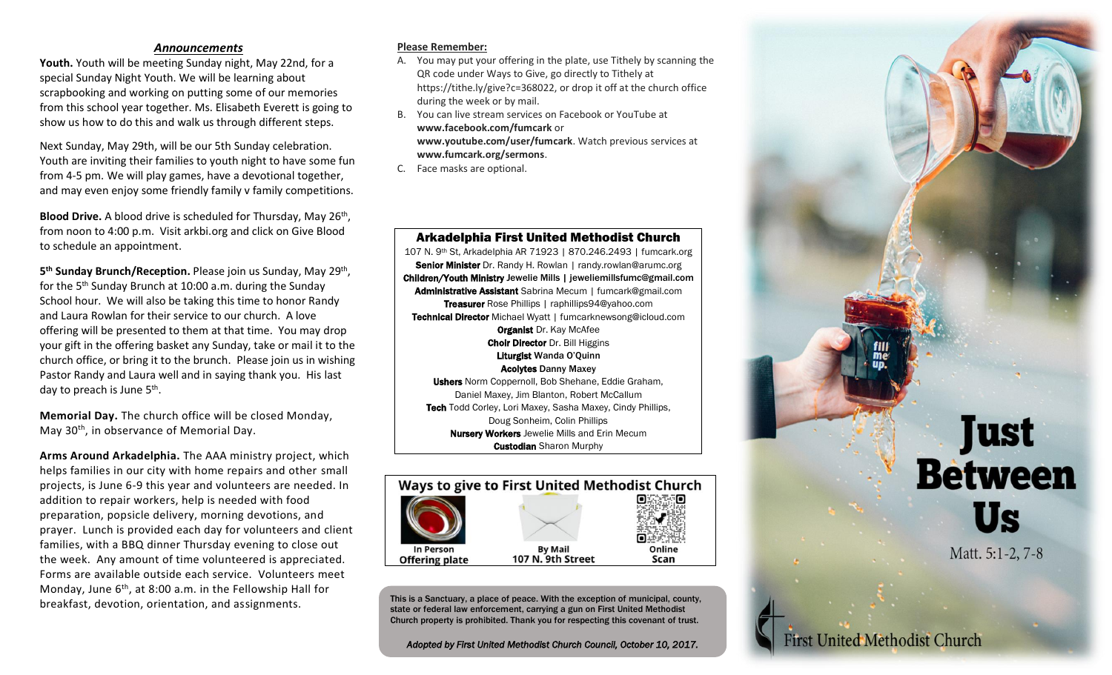## *Announcements*

**Youth.** Youth will be meeting Sunday night, May 22nd, for a special Sunday Night Youth. We will be learning about scrapbooking and working on putting some of our memories from this school year together. Ms. Elisabeth Everett is going to show us how to do this and walk us through different steps.

Next Sunday, May 29th, will be our 5th Sunday celebration. Youth are inviting their families to youth night to have some fun from 4-5 pm. We will play games, have a devotional together, and may even enjoy some friendly family v family competitions.

Blood Drive. A blood drive is scheduled for Thursday, May 26<sup>th</sup>, from noon to 4:00 p.m. Visit arkbi.org and click on Give Blood to schedule an appointment.

5<sup>th</sup> Sunday Brunch/Reception. Please join us Sunday, May 29<sup>th</sup>, for the 5<sup>th</sup> Sunday Brunch at 10:00 a.m. during the Sunday School hour. We will also be taking this time to honor Randy and Laura Rowlan for their service to our church. A love offering will be presented to them at that time. You may drop your gift in the offering basket any Sunday, take or mail it to the church office, or bring it to the brunch. Please join us in wishing Pastor Randy and Laura well and in saying thank you. His last day to preach is June 5<sup>th</sup>.

**Memorial Day.** The church office will be closed Monday, May 30th, in observance of Memorial Day.

**Arms Around Arkadelphia.** The AAA ministry project, which helps families in our city with home repairs and other small projects, is June 6-9 this year and volunteers are needed. In addition to repair workers, help is needed with food preparation, popsicle delivery, morning devotions, and prayer. Lunch is provided each day for volunteers and client families, with a BBQ dinner Thursday evening to close out the week. Any amount of time volunteered is appreciated. Forms are available outside each service. Volunteers meet Monday, June  $6<sup>th</sup>$ , at 8:00 a.m. in the Fellowship Hall for breakfast, devotion, orientation, and assignments.

## **Please Remember:**

- A. You may put your offering in the plate, use Tithely by scanning the QR code under Ways to Give, go directly to Tithely at https://tithe.ly/give?c=368022, or drop it off at the church office during the week or by mail.
- B. You can live stream services on Facebook or YouTube at **www.facebook.com/fumcark** or **www.youtube.com/user/fumcark**. Watch previous services at **www.fumcark.org/sermons**.
- C. Face masks are optional.



**First United Methodist Church** 

Arkadelphia First United Methodist Church 107 N. 9th St, Arkadelphia AR 71923 | 870.246.2493 | fumcark.org Senior Minister Dr. Randy H. Rowlan | randy.rowlan@arumc.org Children/Youth Ministry Jewelie Mills | jeweliemillsfumc@gmail.com Administrative Assistant Sabrina Mecum | fumcark@gmail.com Treasurer Rose Phillips | raphillips94@yahoo.com Technical Director Michael Wyatt | fumcarknewsong@icloud.com **Organist Dr. Kay McAfee Choir Director Dr. Bill Higgins** Liturgist Wanda O'Quinn Acolytes Danny Maxey Ushers Norm Coppernoll, Bob Shehane, Eddie Graham, Daniel Maxey, Jim Blanton, Robert McCallum Tech Todd Corley, Lori Maxey, Sasha Maxey, Cindy Phillips, Doug Sonheim, Colin Phillips Nursery Workers Jewelie Mills and Erin Mecum

**Custodian** Sharon Murphy



This is a Sanctuary, a place of peace. With the exception of municipal, county, state or federal law enforcement, carrying a gun on First United Methodist Church property is prohibited. Thank you for respecting this covenant of trust.

*Adopted by First United Methodist Church Council, October 10, 2017.*